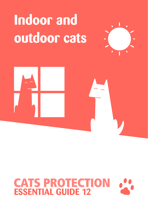## **Indoor and outdoor cats**





# **CATS PROTECTION**<br>**ESSENTIAL GUIDE 12**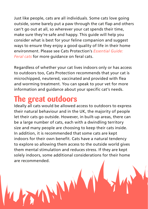Just like people, cats are all individuals. Some cats love going outside, some barely put a paw through the cat flap and others can't go out at all, so wherever your cat spends their time, make sure they're safe and happy. This guide will help you consider what is best for your feline companion and suggest ways to ensure they enjoy a good quality of life in their home environment. Please see Cats Protection's *Essential Guide: Feral cats* for more guidance on feral cats.

Regardless of whether your cat lives indoors only or has access to outdoors too, Cats Protection recommends that your cat is microchipped, neutered, vaccinated and provided with flea and worming treatment. You can speak to your vet for more information and guidance about your specific cat's needs.

## **The great outdoors**

Ideally all cats would be allowed access to outdoors to express their natural behaviour and in the UK, the majority of people let their cats go outside. However, in built-up areas, there can be a large number of cats, each with a dwindling territory size and many people are choosing to keep their cats inside. In addition, it is recommended that some cats are kept indoors for their own benefit. Cats have a natural tendency to explore so allowing them access to the outside world gives them mental stimulation and reduces stress. If they are kept solely indoors, some additional considerations for their home are recommended.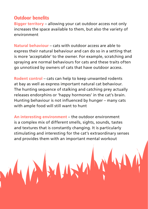#### **Outdoor benefits**

**Bigger territory** – allowing your cat outdoor access not only increases the space available to them, but also the variety of environment

**Natural behaviour** – cats with outdoor access are able to express their natural behaviour and can do so in a setting that is more 'acceptable' to the owner. For example, scratching and spraying are normal behaviours for cats and these traits often go unnoticed by owners of cats that have outdoor access.

**Rodent control** – cats can help to keep unwanted rodents at bay as well as express important natural cat behaviour. The hunting sequence of stalking and catching prey actually releases endorphins or 'happy hormones' in the cat's brain. Hunting behaviour is not influenced by hunger – many cats with ample food will still want to hunt

**An interesting environment** – the outdoor environment is a complex mix of different smells, sights, sounds, tastes and textures that is constantly changing. It is particularly stimulating and interesting for the cat's extraordinary senses and provides them with an important mental workout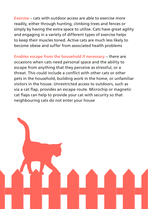**Exercise** – cats with outdoor access are able to exercise more readily, either through hunting, climbing trees and fences or simply by having the extra space to utilise. Cats have great agility and engaging in a variety of different types of exercise helps to keep their muscles toned. Active cats are much less likely to become obese and suffer from associated health problems

**Enables escape from the household if necessary** – there are occasions when cats need personal space and the ability to escape from anything that they perceive as stressful, or a threat. This could include a conflict with other cats or other pets in the household, building work in the home, or unfamiliar visitors in the house. Unrestricted access to outdoors, such as via a cat flap, provides an escape route. Microchip or magnetic cat flaps can help to provide your cat with security so that neighbouring cats do not enter your house

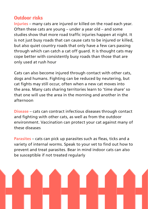#### **Outdoor risks**

**Injuries** – many cats are injured or killed on the road each year. Often these cats are young – under a year old – and some studies show that more road traffic injuries happen at night. It is not just busy roads that can cause cats to be injured or killed, but also quiet country roads that only have a few cars passing through which can catch a cat off guard. It is thought cats may cope better with consistently busy roads than those that are only used at rush hour

Cats can also become injured through contact with other cats, dogs and humans. Fighting can be reduced by neutering, but cat fights may still occur, often when a new cat moves into the area. Many cats sharing territories learn to 'time share' so that one will use the area in the morning and another in the afternoon

**Disease** – cats can contract infectious diseases through contact and fighting with other cats, as well as from the outdoor environment. Vaccination can protect your cat against many of these diseases

**Parasites** – cats can pick up parasites such as fleas, ticks and a variety of internal worms. Speak to your vet to find out how to prevent and treat parasites. Bear in mind indoor cats can also be susceptible if not treated regularly

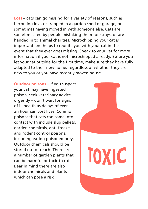**Loss** – cats can go missing for a variety of reasons, such as becoming lost, or trapped in a garden shed or garage, or sometimes having moved in with someone else. Cats are sometimes fed by people mistaking them for strays, or are handed in to animal charities. Microchipping your cat is important and helps to reunite you with your cat in the event that they ever goes missing. Speak to your vet for more information if your cat is not microchipped already. Before you let your cat outside for the first time, make sure they have fully adapted to their new home, regardless of whether they are new to you or you have recently moved house

**Outdoor poisons** – if you suspect your cat may have ingested poison, seek veterinary advice urgently – don't wait for signs of ill health as delays of even an hour can cost lives. Common poisons that cats can come into contact with include slug pellets, garden chemicals, anti-freeze and rodent control poisons, including eating poisoned prey. Outdoor chemicals should be stored out of reach. There are a number of garden plants that can be harmful or toxic to cats. Bear in mind there are also indoor chemicals and plants which can pose a risk

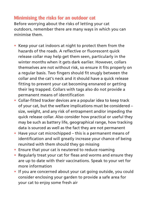#### **Minimising the risks for an outdoor cat**

Before worrying about the risks of letting your cat outdoors, remember there are many ways in which you can minimise them.

- **•** Keep your cat indoors at night to protect them from the hazards of the roads. A reflective or fluorescent quick release collar may help get them seen, particularly in the winter months when it gets dark earlier. However, collars themselves are not without risk, so ensure it fits properly on a regular basis. Two fingers should fit snugly between the collar and the cat's neck and it should have a quick release fitting to prevent your cat becoming ensnared or getting their leg trapped. Collars with tags also do not provide a permanent means of identification
- **•** Collar-fitted tracker devices are a popular idea to keep track of your cat, but the welfare implications must be considered – size, weight, and any risk of entrapment and/or impeding the quick release collar. Also consider how practical or useful they may be such as battery life, geographical range, how tracking data is sourced as well as the fact they are not permanent
- **•** Have your cat microchipped this is a permanent means of identification and will greatly increase your chance of being reunited with them should they go missing
- **•** Ensure that your cat is neutered to reduce roaming
- **•** Regularly treat your cat for fleas and worms and ensure they are up to date with their vaccinations. Speak to your vet for more information
- **•** If you are concerned about your cat going outside, you could consider enclosing your garden to provide a safe area for your cat to enjoy some fresh air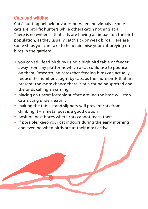#### **Cats and wildlife**

Cats' hunting behaviour varies between individuals – some cats are prolific hunters while others catch nothing at all. There is no evidence that cats are having an impact on the bird population, as they usually catch sick or weak birds. Here are some steps you can take to help minimise your cat preying on birds in the garden:

- **•** you can still feed birds by using a high bird table or feeder away from any platforms which a cat could use to pounce on them. Research indicates that feeding birds can actually reduce the number caught by cats, as the more birds that are present, the more chance there is of a cat being spotted and the birds calling a warning
- **•** placing an uncomfortable surface around the base will stop cats sitting underneath it
- **•** making the table stand slippery will prevent cats from climbing it – a metal post is a good option
- **•** position nest boxes where cats cannot reach them
- **•** if possible, keep your cat indoors during the early morning and evening when birds are at their most active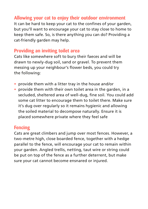#### **Allowing your cat to enjoy their outdoor environment**

It can be hard to keep your cat to the confines of your garden, but you'll want to encourage your cat to stay close to home to keep them safe. So, is there anything you can do? Providing a cat-friendly garden may help.

#### **Providing an inviting toilet area**

Cats like somewhere soft to bury their faeces and will be drawn to newly-dug soil, sand or gravel. To prevent them messing up your neighbour's flower beds, you could try the following:

- **•** provide them with a litter tray in the house and/or
- **•** provide them with their own toilet area in the garden, in a secluded, sheltered area of well-dug, fine soil. You could add some cat litter to encourage them to toilet there. Make sure it's dug over regularly so it remains hygienic and allowing the soiled material to decompose naturally. Ensure it is placed somewhere private where they feel safe

#### **Fencing**

Cats are great climbers and jump over most fences. However, a two-metre high, close boarded fence, together with a hedge parallel to the fence, will encourage your cat to remain within your garden. Angled trellis, netting, taut wire or string could be put on top of the fence as a further deterrent, but make sure your cat cannot become ensnared or injured.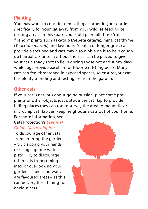#### **Planting**

You may want to consider dedicating a corner in your garden specifically for your cat away from your wildlife feeding or nesting areas. In this space you could plant all those 'catfriendly' plants such as catnip (*Nepeta cataria*), mint, cat thyme (*Teucrium marum*) and lavender. A patch of longer grass can provide a soft bed and cats may also nibble on it to help cough up hairballs. Plants – without thorns – can be placed to give your cat a shady spot to lie in during those hot and sunny days while logs provide excellent outdoor scratching posts. Many cats can feel threatened in exposed spaces, so ensure your cat has plenty of hiding and resting areas in the garden.

#### **Other cats**

If your cat is nervous about going outside, place some pot plants or other objects just outside the cat flap to provide hiding places they can use to survey the area. A magnetic or microchip cat flap can keep neighbour's cats out of your home.

For more information, see Cats Protection's *Essential Guide: Microchipping*.

To discourage other cats from entering the garden – try clapping your hands or using a gentle water pistol. Try to discourage other cats from coming into, or overlooking your garden – sheds and walls are favoured areas – as this can be very threatening for anxious cats.

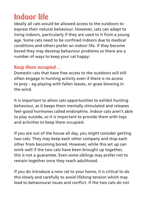## **Indoor life**

Ideally all cats would be allowed access to the outdoors to express their natural behaviour. However, cats can adapt to living indoors, particularly if they are used to it from a young age. Some cats need to be confined indoors due to medical conditions and others prefer an indoor life. If they become bored they may develop behaviour problems so there are a number of ways to keep your cat happy:

#### **Keep them occupied…**

Domestic cats that have free access to the outdoors will still often engage in hunting activity even if there is no access to prey – eg playing with fallen leaves, or grass blowing in the wind.

It is important to allow cats opportunities to exhibit hunting behaviour, as it keeps them mentally stimulated and releases feel-good hormones called endorphins. Indoor cats aren't able to play outside, so it is important to provide them with toys and activities to keep them occupied.

If you are out of the house all day, you *might* consider getting two cats. They may keep each other company and stop each other from becoming bored. However, while this set up can work well if the two cats have been brought up together, this is not a guarantee. Even some siblings may prefer not to remain together once they reach adulthood.

If you do introduce a new cat to your home, it is critical to do this slowly and carefully to avoid lifelong tension which may lead to behavioural issues and conflict. If the two cats do not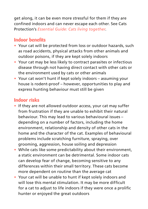get along, it can be even more stressful for them if they are confined indoors and can never escape each other. See Cats Protection's *Essential Guide: Cats living together*.

#### **Indoor benefits**

- **•** Your cat will be protected from loss or outdoor hazards, such as road accidents, physical attacks from other animals and outdoor poisons, if they are kept solely indoors
- **•** Your cat may be less likely to contract parasites or infectious disease through not having direct contact with other cats or the environment used by cats or other animals
- **•** Your cat won't hunt if kept solely indoors assuming your house is rodent-proof – however, opportunities to play and express hunting behaviour must still be given

#### **Indoor risks**

- **•** If they are not allowed outdoor access, your cat may suffer from frustration if they are unable to exhibit their natural behaviour. This may lead to various behavioural issues – depending on a number of factors, including the home environment, relationship and density of other cats in the home and the character of the cat. Examples of behavioural problems include scratching furniture, spraying, over grooming, aggression, house soiling and depression
- **•** While cats like some predictability about their environment, a static environment can be detrimental. Some indoor cats can develop fear of change, becoming sensitive to any differences within their small territory. These cats become more dependent on routine than the average cat
- **•** Your cat will be unable to hunt if kept solely indoors and will lose this mental stimulation. It may be more difficult for a cat to adjust to life indoors if they were once a prolific hunter or enjoyed the great outdoors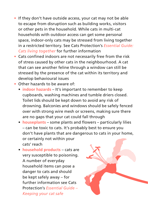- **•** If they don't have outside access, your cat may not be able to escape from disruption such as building works, visitors or other pets in the household. While cats in multi-cat households with outdoor access can get some personal space, indoor-only cats may be stressed from living together in a restricted territory. See Cats Protection's *Essential Guide: Cats living together* for further information
- **•** Cats confined indoors are not necessarily free from the risk of stress caused by other cats in the neighbourhood. A cat that can see another feline through a window can still be stressed by the presence of the cat within its territory and develop behavioural issues
- **•** Other hazards to be aware of:
	- **indoor hazards**  It's important to remember to keep cupboards, washing machines and tumble driers closed. Toilet lids should be kept down to avoid any risk of drowning. Balconies and windows should be safely fenced over with strong wire mesh or screens, making sure there are no gaps that your cat could fall through
	- **houseplants**  some plants and flowers particularly lilies – can be toxic to cats. It's probably best to ensure you don't have plants that are dangerous to cats in your home, or certainly not within your cats' reach
	- **household products**  cats are very susceptible to poisoning. A number of everyday household items can pose a danger to cats and should be kept safely away – for further information see Cats Protection's *Essential Guide – Keeping your cat safe*

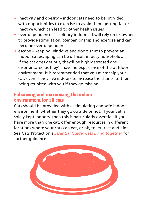- **•** inactivity and obesity indoor cats need to be provided with opportunities to exercise to avoid them getting fat or inactive which can lead to other health issues
- **•** over-dependence a solitary indoor cat will rely on its owner to provide stimulation, companionship and exercise and can become over-dependent
- **•** escape keeping windows and doors shut to prevent an indoor cat escaping can be difficult in busy households. If the cat does get out, they'll be highly stressed and disorientated as they'll have no experience of the outdoor environment. It is recommended that you microchip your cat, even if they live indoors to increase the chance of them being reunited with you if they go missing

#### **Enhancing and maximising the indoor environment for all cats**

Cats should be provided with a stimulating and safe indoor environment, whether they go outside or not. If your cat is solely kept indoors, then this is particularly essential. If you have more than one cat, offer enough resources in different locations where your cats can eat, drink, toilet, rest and hide. See Cats Protection's *Essential Guide: Cats living together* for further guidance.

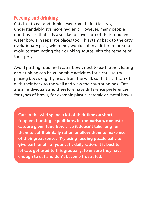#### **Feeding and drinking**

Cats like to eat and drink away from their litter tray, as understandably, it's more hygienic. However, many people don't realise that cats also like to have each of their food and water bowls in separate places too. This stems back to the cat's evolutionary past, when they would eat in a different area to avoid contaminating their drinking source with the remains of their prey.

Avoid putting food and water bowls next to each other. Eating and drinking can be vulnerable activities for a cat – so try placing bowls slightly away from the wall, so that a cat can sit with their back to the wall and view their surroundings. Cats are all individuals and therefore have difference preferences for types of bowls, for example plastic, ceramic or metal bowls.

**Cats in the wild spend a lot of their time on short, frequent hunting expeditions. In comparison, domestic cats are given food bowls, so it doesn't take long for them to eat their daily ration or allow them to make use of their great senses. Try using feeding puzzle balls to give part, or all, of your cat's daily ration. It is best to let cats get used to this gradually, to ensure they have enough to eat and don't become frustrated.**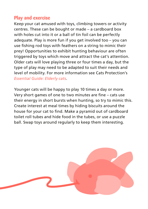#### **Play and exercise**

Keep your cat amused with toys, climbing towers or activity centres. These can be bought or made – a cardboard box with holes cut into it or a ball of tin foil can be perfectly adequate. Play is more fun if you get involved too – you can use fishing rod toys with feathers on a string to mimic their prey! Opportunities to exhibit hunting behaviour are often triggered by toys which move and attract the cat's attention. Older cats will love playing three or four times a day, but the type of play may need to be adapted to suit their needs and level of mobility. For more information see Cats Protection's *Essential Guide: Elderly cats*.

Younger cats will be happy to play 10 times a day or more. Very short games of one to two minutes are fine – cats use their energy in short bursts when hunting, so try to mimic this. Create interest at meal times by hiding biscuits around the house for your cat to find. Make a pyramid out of cardboard toilet roll tubes and hide food in the tubes, or use a puzzle ball. Swap toys around regularly to keep them interesting.

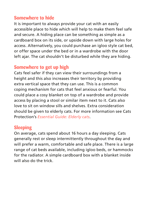#### **Somewhere to hide**

It is important to always provide your cat with an easily accessible place to hide which will help to make them feel safe and secure. A hiding place can be something as simple as a cardboard box on its side, or upside down with large holes for access. Alternatively, you could purchase an igloo style cat bed, or offer space under the bed or in a wardrobe with the door left ajar. The cat shouldn't be disturbed while they are hiding.

#### **Somewhere to get up high**

Cats feel safer if they can view their surroundings from a height and this also increases their territory by providing extra vertical space that they can use. This is a common coping mechanism for cats that feel anxious or fearful. You could place a cosy blanket on top of a wardrobe and provide access by placing a stool or similar item next to it. Cats also love to sit on window sills and shelves. Extra consideration should be given to elderly cats. For more information see Cats Protection's *Essential Guide: Elderly cats*.

#### **Sleeping**

On average, cats spend about 16 hours a day sleeping. Cats generally rest or sleep intermittently throughout the day and will prefer a warm, comfortable and safe place. There is a large range of cat beds available, including igloo beds, or hammocks for the radiator. A simple cardboard box with a blanket inside will also do the trick.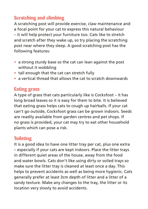#### **Scratching and climbing**

A scratching post will provide exercise, claw maintenance and a focal point for your cat to express this natural behaviour – it will help protect your furniture too. Cats like to stretch and scratch after they wake up, so try placing the scratching post near where they sleep. A good scratching post has the following features:

- **•** a strong sturdy base so the cat can lean against the post without it wobbling
- **•** tall enough that the cat can stretch fully
- **•** a vertical thread that allows the cat to scratch downwards

#### **Eating grass**

A type of grass that cats particularly like is Cocksfoot – it has long broad leaves so it is easy for them to bite. It is believed that eating grass helps cats to cough up hairballs. If your cat can't go outside, Cocksfoot grass can be grown indoors. Seeds are readily available from garden centres and pet shops. If no grass is provided, your cat may try to eat other household plants which can pose a risk.

#### **Toileting**

It is a good idea to have one litter tray per cat, plus one extra – especially if your cats are kept indoors. Place the litter trays in different quiet areas of the house, away from the food and water bowls. Cats don't like using dirty or soiled trays so make sure the litter tray is cleaned at least once a day. This helps to prevent accidents as well as being more hygienic. Cats generally prefer at least 3cm depth of litter and a litter of a sandy texture. Make any changes to the tray, the litter or its location very slowly to avoid accidents.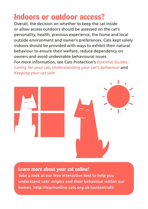### **Indoors or outdoor access?**

Overall, the decision on whether to keep the cat inside or allow access outdoors should be assessed on the cat's personality, health, previous experience, the home and local outside environment and owner's preferences. Cats kept solely indoors should be provided with ways to exhibit their natural behaviour to ensure their welfare, reduce dependency on owners and avoid undesirable behavioural issues.

For more information, see Cats Protection's *Essential Guides: Caring for your cat*, *Understanding your cat's behaviour* and *Keeping your cat safe*





#### **Learn more about your cat online! Take a look at our free interactive tool to help you understand cats' origins and their behaviour within our**

**homes. http://learnonline.cats.org.uk/content/ufo**